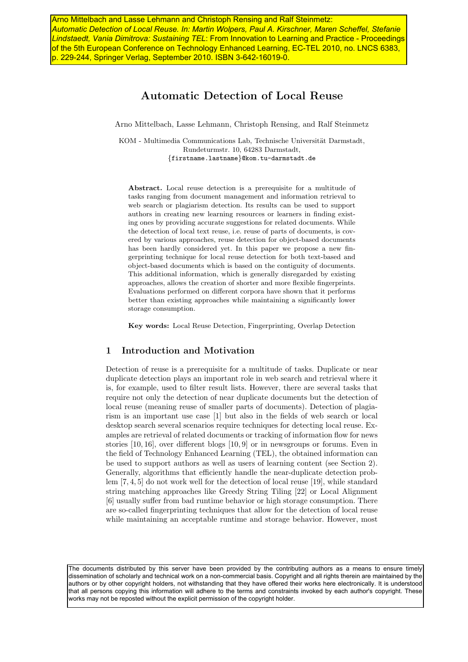Arno Mittelbach and Lasse Lehmann and Christoph Rensing and Ralf Steinmetz: *Automatic Detection of Local Reuse. In: Martin Wolpers, Paul A. Kirschner, Maren Scheffel, Stefanie Lindstaedt, Vania Dimitrova: Sustaining TEL*: From Innovation to Learning and Practice - Proceedings of the 5th European Conference on Technology Enhanced Learning, EC-TEL 2010, no. LNCS 6383, p. 229-244, Springer Verlag, September 2010. ISBN 3-642-16019-0.

# Automatic Detection of Local Reuse

Arno Mittelbach, Lasse Lehmann, Christoph Rensing, and Ralf Steinmetz

KOM - Multimedia Communications Lab, Technische Universität Darmstadt, Rundeturmstr. 10, 64283 Darmstadt, {firstname.lastname}@kom.tu-darmstadt.de

Abstract. Local reuse detection is a prerequisite for a multitude of tasks ranging from document management and information retrieval to web search or plagiarism detection. Its results can be used to support authors in creating new learning resources or learners in finding existing ones by providing accurate suggestions for related documents. While the detection of local text reuse, i.e. reuse of parts of documents, is covered by various approaches, reuse detection for object-based documents has been hardly considered yet. In this paper we propose a new fingerprinting technique for local reuse detection for both text-based and object-based documents which is based on the contiguity of documents. This additional information, which is generally disregarded by existing approaches, allows the creation of shorter and more flexible fingerprints. Evaluations performed on different corpora have shown that it performs better than existing approaches while maintaining a significantly lower storage consumption.

Key words: Local Reuse Detection, Fingerprinting, Overlap Detection

# 1 Introduction and Motivation

Detection of reuse is a prerequisite for a multitude of tasks. Duplicate or near duplicate detection plays an important role in web search and retrieval where it is, for example, used to filter result lists. However, there are several tasks that require not only the detection of near duplicate documents but the detection of local reuse (meaning reuse of smaller parts of documents). Detection of plagiarism is an important use case [1] but also in the fields of web search or local desktop search several scenarios require techniques for detecting local reuse. Examples are retrieval of related documents or tracking of information flow for news stories [10, 16], over different blogs [10, 9] or in newsgroups or forums. Even in the field of Technology Enhanced Learning (TEL), the obtained information can be used to support authors as well as users of learning content (see Section 2). Generally, algorithms that efficiently handle the near-duplicate detection problem [7, 4, 5] do not work well for the detection of local reuse [19], while standard string matching approaches like Greedy String Tiling [22] or Local Alignment [6] usually suffer from bad runtime behavior or high storage consumption. There are so-called fingerprinting techniques that allow for the detection of local reuse while maintaining an acceptable runtime and storage behavior. However, most

The documents distributed by this server have been provided by the contributing authors as a means to ensure timely dissemination of scholarly and technical work on a non-commercial basis. Copyright and all rights therein are maintained by the authors or by other copyright holders, not withstanding that they have offered their works here electronically. It is understood that all persons copying this information will adhere to the terms and constraints invoked by each author's copyright. These works may not be reposted without the explicit permission of the copyright holder.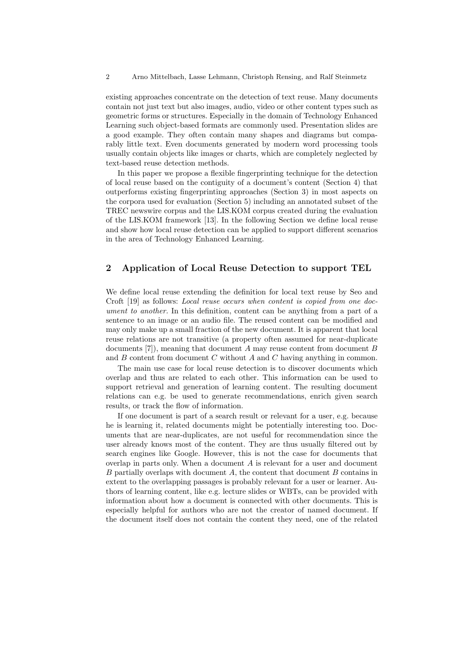existing approaches concentrate on the detection of text reuse. Many documents contain not just text but also images, audio, video or other content types such as geometric forms or structures. Especially in the domain of Technology Enhanced Learning such object-based formats are commonly used. Presentation slides are a good example. They often contain many shapes and diagrams but comparably little text. Even documents generated by modern word processing tools usually contain objects like images or charts, which are completely neglected by text-based reuse detection methods.

In this paper we propose a flexible fingerprinting technique for the detection of local reuse based on the contiguity of a document's content (Section 4) that outperforms existing fingerprinting approaches (Section 3) in most aspects on the corpora used for evaluation (Section 5) including an annotated subset of the TREC newswire corpus and the LIS.KOM corpus created during the evaluation of the LIS.KOM framework [13]. In the following Section we define local reuse and show how local reuse detection can be applied to support different scenarios in the area of Technology Enhanced Learning.

# 2 Application of Local Reuse Detection to support TEL

We define local reuse extending the definition for local text reuse by Seo and Croft [19] as follows: Local reuse occurs when content is copied from one document to another. In this definition, content can be anything from a part of a sentence to an image or an audio file. The reused content can be modified and may only make up a small fraction of the new document. It is apparent that local reuse relations are not transitive (a property often assumed for near-duplicate documents  $[7]$ , meaning that document A may reuse content from document B and  $B$  content from document  $C$  without  $A$  and  $C$  having anything in common.

The main use case for local reuse detection is to discover documents which overlap and thus are related to each other. This information can be used to support retrieval and generation of learning content. The resulting document relations can e.g. be used to generate recommendations, enrich given search results, or track the flow of information.

If one document is part of a search result or relevant for a user, e.g. because he is learning it, related documents might be potentially interesting too. Documents that are near-duplicates, are not useful for recommendation since the user already knows most of the content. They are thus usually filtered out by search engines like Google. However, this is not the case for documents that overlap in parts only. When a document A is relevant for a user and document  $B$  partially overlaps with document  $A$ , the content that document  $B$  contains in extent to the overlapping passages is probably relevant for a user or learner. Authors of learning content, like e.g. lecture slides or WBTs, can be provided with information about how a document is connected with other documents. This is especially helpful for authors who are not the creator of named document. If the document itself does not contain the content they need, one of the related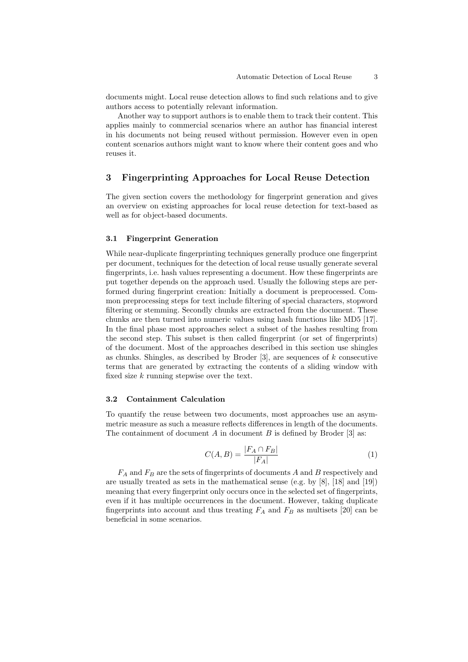documents might. Local reuse detection allows to find such relations and to give authors access to potentially relevant information.

Another way to support authors is to enable them to track their content. This applies mainly to commercial scenarios where an author has financial interest in his documents not being reused without permission. However even in open content scenarios authors might want to know where their content goes and who reuses it.

## 3 Fingerprinting Approaches for Local Reuse Detection

The given section covers the methodology for fingerprint generation and gives an overview on existing approaches for local reuse detection for text-based as well as for object-based documents.

### 3.1 Fingerprint Generation

While near-duplicate fingerprinting techniques generally produce one fingerprint per document, techniques for the detection of local reuse usually generate several fingerprints, i.e. hash values representing a document. How these fingerprints are put together depends on the approach used. Usually the following steps are performed during fingerprint creation: Initially a document is preprocessed. Common preprocessing steps for text include filtering of special characters, stopword filtering or stemming. Secondly chunks are extracted from the document. These chunks are then turned into numeric values using hash functions like MD5 [17]. In the final phase most approaches select a subset of the hashes resulting from the second step. This subset is then called fingerprint (or set of fingerprints) of the document. Most of the approaches described in this section use shingles as chunks. Shingles, as described by Broder  $[3]$ , are sequences of k consecutive terms that are generated by extracting the contents of a sliding window with fixed size  $k$  running stepwise over the text.

## 3.2 Containment Calculation

To quantify the reuse between two documents, most approaches use an asymmetric measure as such a measure reflects differences in length of the documents. The containment of document  $A$  in document  $B$  is defined by Broder [3] as:

$$
C(A,B) = \frac{|F_A \cap F_B|}{|F_A|} \tag{1}
$$

 $F_A$  and  $F_B$  are the sets of fingerprints of documents A and B respectively and are usually treated as sets in the mathematical sense (e.g. by [8], [18] and [19]) meaning that every fingerprint only occurs once in the selected set of fingerprints, even if it has multiple occurrences in the document. However, taking duplicate fingerprints into account and thus treating  $F_A$  and  $F_B$  as multisets [20] can be beneficial in some scenarios.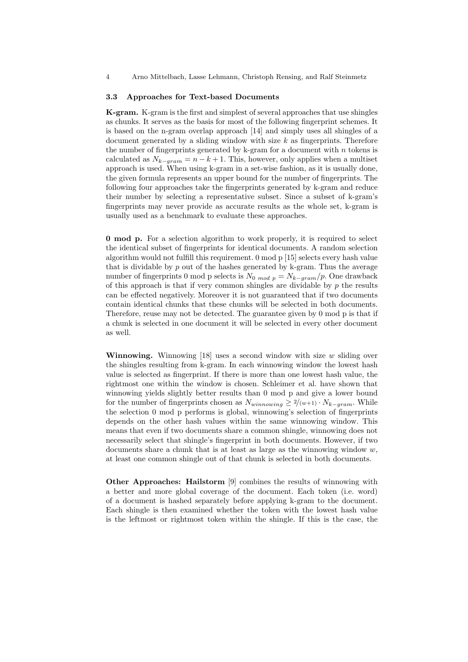#### 3.3 Approaches for Text-based Documents

K-gram. K-gram is the first and simplest of several approaches that use shingles as chunks. It serves as the basis for most of the following fingerprint schemes. It is based on the n-gram overlap approach [14] and simply uses all shingles of a document generated by a sliding window with size  $k$  as fingerprints. Therefore the number of fingerprints generated by k-gram for a document with  $n$  tokens is calculated as  $N_{k-gram} = n - k + 1$ . This, however, only applies when a multiset approach is used. When using k-gram in a set-wise fashion, as it is usually done, the given formula represents an upper bound for the number of fingerprints. The following four approaches take the fingerprints generated by k-gram and reduce their number by selecting a representative subset. Since a subset of k-gram's fingerprints may never provide as accurate results as the whole set, k-gram is usually used as a benchmark to evaluate these approaches.

0 mod p. For a selection algorithm to work properly, it is required to select the identical subset of fingerprints for identical documents. A random selection algorithm would not fulfill this requirement. 0 mod p [15] selects every hash value that is dividable by  $p$  out of the hashes generated by k-gram. Thus the average number of fingerprints 0 mod p selects is  $N_{0 \mod p} = N_{k-gram}/p$ . One drawback of this approach is that if very common shingles are dividable by  $p$  the results can be effected negatively. Moreover it is not guaranteed that if two documents contain identical chunks that these chunks will be selected in both documents. Therefore, reuse may not be detected. The guarantee given by 0 mod p is that if a chunk is selected in one document it will be selected in every other document as well.

**Winnowing.** Winnowing [18] uses a second window with size  $w$  sliding over the shingles resulting from k-gram. In each winnowing window the lowest hash value is selected as fingerprint. If there is more than one lowest hash value, the rightmost one within the window is chosen. Schleimer et al. have shown that winnowing yields slightly better results than 0 mod p and give a lower bound for the number of fingerprints chosen as  $N_{winnowing} \geq \frac{2}{w+1} \cdot N_{k-gram}$ . While the selection 0 mod p performs is global, winnowing's selection of fingerprints depends on the other hash values within the same winnowing window. This means that even if two documents share a common shingle, winnowing does not necessarily select that shingle's fingerprint in both documents. However, if two documents share a chunk that is at least as large as the winnowing window  $w$ , at least one common shingle out of that chunk is selected in both documents.

Other Approaches: Hailstorm [9] combines the results of winnowing with a better and more global coverage of the document. Each token (i.e. word) of a document is hashed separately before applying k-gram to the document. Each shingle is then examined whether the token with the lowest hash value is the leftmost or rightmost token within the shingle. If this is the case, the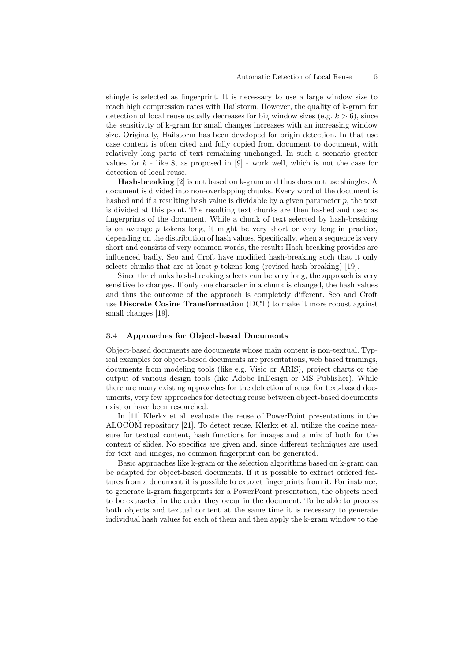shingle is selected as fingerprint. It is necessary to use a large window size to reach high compression rates with Hailstorm. However, the quality of k-gram for detection of local reuse usually decreases for big window sizes (e.g.  $k > 6$ ), since the sensitivity of k-gram for small changes increases with an increasing window size. Originally, Hailstorm has been developed for origin detection. In that use case content is often cited and fully copied from document to document, with relatively long parts of text remaining unchanged. In such a scenario greater values for  $k$  - like 8, as proposed in  $[9]$  - work well, which is not the case for detection of local reuse.

Hash-breaking [2] is not based on k-gram and thus does not use shingles. A document is divided into non-overlapping chunks. Every word of the document is hashed and if a resulting hash value is dividable by a given parameter  $p$ , the text is divided at this point. The resulting text chunks are then hashed and used as fingerprints of the document. While a chunk of text selected by hash-breaking is on average  $p$  tokens long, it might be very short or very long in practice, depending on the distribution of hash values. Specifically, when a sequence is very short and consists of very common words, the results Hash-breaking provides are influenced badly. Seo and Croft have modified hash-breaking such that it only selects chunks that are at least  $p$  tokens long (revised hash-breaking) [19].

Since the chunks hash-breaking selects can be very long, the approach is very sensitive to changes. If only one character in a chunk is changed, the hash values and thus the outcome of the approach is completely different. Seo and Croft use Discrete Cosine Transformation (DCT) to make it more robust against small changes [19].

#### 3.4 Approaches for Object-based Documents

Object-based documents are documents whose main content is non-textual. Typical examples for object-based documents are presentations, web based trainings, documents from modeling tools (like e.g. Visio or ARIS), project charts or the output of various design tools (like Adobe InDesign or MS Publisher). While there are many existing approaches for the detection of reuse for text-based documents, very few approaches for detecting reuse between object-based documents exist or have been researched.

In [11] Klerkx et al. evaluate the reuse of PowerPoint presentations in the ALOCOM repository [21]. To detect reuse, Klerkx et al. utilize the cosine measure for textual content, hash functions for images and a mix of both for the content of slides. No specifics are given and, since different techniques are used for text and images, no common fingerprint can be generated.

Basic approaches like k-gram or the selection algorithms based on k-gram can be adapted for object-based documents. If it is possible to extract ordered features from a document it is possible to extract fingerprints from it. For instance, to generate k-gram fingerprints for a PowerPoint presentation, the objects need to be extracted in the order they occur in the document. To be able to process both objects and textual content at the same time it is necessary to generate individual hash values for each of them and then apply the k-gram window to the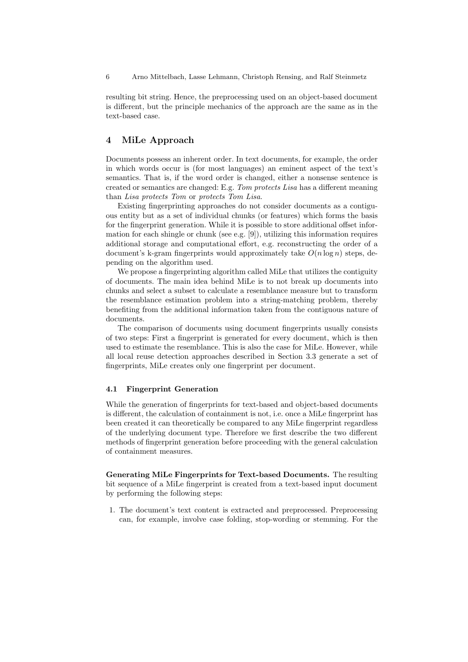resulting bit string. Hence, the preprocessing used on an object-based document is different, but the principle mechanics of the approach are the same as in the text-based case.

## 4 MiLe Approach

Documents possess an inherent order. In text documents, for example, the order in which words occur is (for most languages) an eminent aspect of the text's semantics. That is, if the word order is changed, either a nonsense sentence is created or semantics are changed: E.g. Tom protects Lisa has a different meaning than Lisa protects Tom or protects Tom Lisa.

Existing fingerprinting approaches do not consider documents as a contiguous entity but as a set of individual chunks (or features) which forms the basis for the fingerprint generation. While it is possible to store additional offset information for each shingle or chunk (see e.g. [9]), utilizing this information requires additional storage and computational effort, e.g. reconstructing the order of a document's k-gram fingerprints would approximately take  $O(n \log n)$  steps, depending on the algorithm used.

We propose a fingerprinting algorithm called MiLe that utilizes the contiguity of documents. The main idea behind MiLe is to not break up documents into chunks and select a subset to calculate a resemblance measure but to transform the resemblance estimation problem into a string-matching problem, thereby benefiting from the additional information taken from the contiguous nature of documents.

The comparison of documents using document fingerprints usually consists of two steps: First a fingerprint is generated for every document, which is then used to estimate the resemblance. This is also the case for MiLe. However, while all local reuse detection approaches described in Section 3.3 generate a set of fingerprints, MiLe creates only one fingerprint per document.

## 4.1 Fingerprint Generation

While the generation of fingerprints for text-based and object-based documents is different, the calculation of containment is not, i.e. once a MiLe fingerprint has been created it can theoretically be compared to any MiLe fingerprint regardless of the underlying document type. Therefore we first describe the two different methods of fingerprint generation before proceeding with the general calculation of containment measures.

Generating MiLe Fingerprints for Text-based Documents. The resulting bit sequence of a MiLe fingerprint is created from a text-based input document by performing the following steps:

1. The document's text content is extracted and preprocessed. Preprocessing can, for example, involve case folding, stop-wording or stemming. For the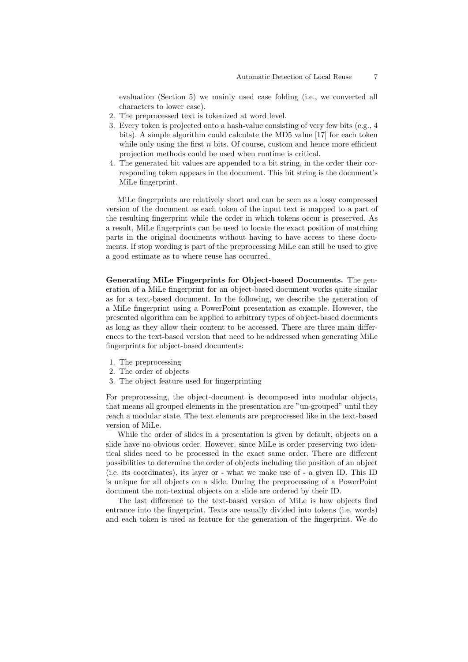evaluation (Section 5) we mainly used case folding (i.e., we converted all characters to lower case).

- 2. The preprocessed text is tokenized at word level.
- 3. Every token is projected onto a hash-value consisting of very few bits (e.g., 4 bits). A simple algorithm could calculate the MD5 value [17] for each token while only using the first  $n$  bits. Of course, custom and hence more efficient projection methods could be used when runtime is critical.
- 4. The generated bit values are appended to a bit string, in the order their corresponding token appears in the document. This bit string is the document's MiLe fingerprint.

MiLe fingerprints are relatively short and can be seen as a lossy compressed version of the document as each token of the input text is mapped to a part of the resulting fingerprint while the order in which tokens occur is preserved. As a result, MiLe fingerprints can be used to locate the exact position of matching parts in the original documents without having to have access to these documents. If stop wording is part of the preprocessing MiLe can still be used to give a good estimate as to where reuse has occurred.

Generating MiLe Fingerprints for Object-based Documents. The generation of a MiLe fingerprint for an object-based document works quite similar as for a text-based document. In the following, we describe the generation of a MiLe fingerprint using a PowerPoint presentation as example. However, the presented algorithm can be applied to arbitrary types of object-based documents as long as they allow their content to be accessed. There are three main differences to the text-based version that need to be addressed when generating MiLe fingerprints for object-based documents:

- 1. The preprocessing
- 2. The order of objects
- 3. The object feature used for fingerprinting

For preprocessing, the object-document is decomposed into modular objects, that means all grouped elements in the presentation are "un-grouped" until they reach a modular state. The text elements are preprocessed like in the text-based version of MiLe.

While the order of slides in a presentation is given by default, objects on a slide have no obvious order. However, since MiLe is order preserving two identical slides need to be processed in the exact same order. There are different possibilities to determine the order of objects including the position of an object (i.e. its coordinates), its layer or - what we make use of - a given ID. This ID is unique for all objects on a slide. During the preprocessing of a PowerPoint document the non-textual objects on a slide are ordered by their ID.

The last difference to the text-based version of MiLe is how objects find entrance into the fingerprint. Texts are usually divided into tokens (i.e. words) and each token is used as feature for the generation of the fingerprint. We do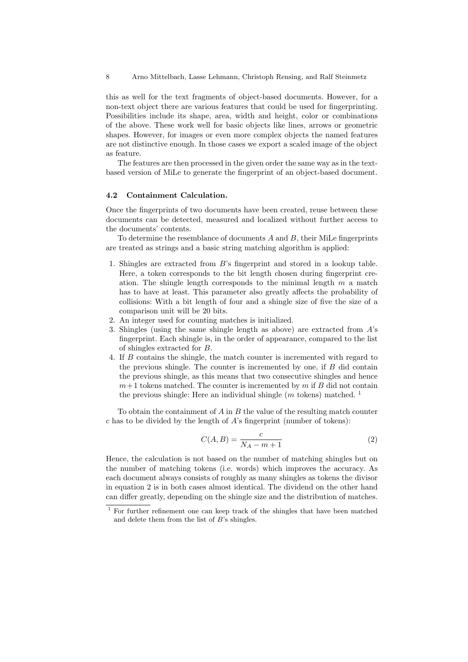8 Arno Mittelbach, Lasse Lehmann, Christoph Rensing, and Ralf Steinmetz

this as well for the text fragments of object-based documents. However, for a non-text object there are various features that could be used for fingerprinting. Possibilities include its shape, area, width and height, color or combinations of the above. These work well for basic objects like lines, arrows or geometric shapes. However, for images or even more complex objects the named features are not distinctive enough. In those cases we export a scaled image of the object as feature.

The features are then processed in the given order the same way as in the textbased version of MiLe to generate the fingerprint of an object-based document.

## 4.2 Containment Calculation.

Once the fingerprints of two documents have been created, reuse between these documents can be detected, measured and localized without further access to the documents' contents.

To determine the resemblance of documents  $A$  and  $B$ , their MiLe fingerprints are treated as strings and a basic string matching algorithm is applied:

- 1. Shingles are extracted from B's fingerprint and stored in a lookup table. Here, a token corresponds to the bit length chosen during fingerprint creation. The shingle length corresponds to the minimal length  $m$  a match has to have at least. This parameter also greatly affects the probability of collisions: With a bit length of four and a shingle size of five the size of a comparison unit will be 20 bits.
- 2. An integer used for counting matches is initialized.
- 3. Shingles (using the same shingle length as above) are extracted from A's fingerprint. Each shingle is, in the order of appearance, compared to the list of shingles extracted for B.
- 4. If B contains the shingle, the match counter is incremented with regard to the previous shingle. The counter is incremented by one, if  $B$  did contain the previous shingle, as this means that two consecutive shingles and hence  $m+1$  tokens matched. The counter is incremented by m if B did not contain the previous shingle: Here an individual shingle  $(m \t{ tokens})$  matched. <sup>1</sup>

To obtain the containment of  $A$  in  $B$  the value of the resulting match counter  $c$  has to be divided by the length of  $\vec{A}$ 's fingerprint (number of tokens):

$$
C(A,B) = \frac{c}{N_A - m + 1} \tag{2}
$$

Hence, the calculation is not based on the number of matching shingles but on the number of matching tokens (i.e. words) which improves the accuracy. As each document always consists of roughly as many shingles as tokens the divisor in equation 2 is in both cases almost identical. The dividend on the other hand can differ greatly, depending on the shingle size and the distribution of matches.

<sup>1</sup> For further refinement one can keep track of the shingles that have been matched and delete them from the list of B's shingles.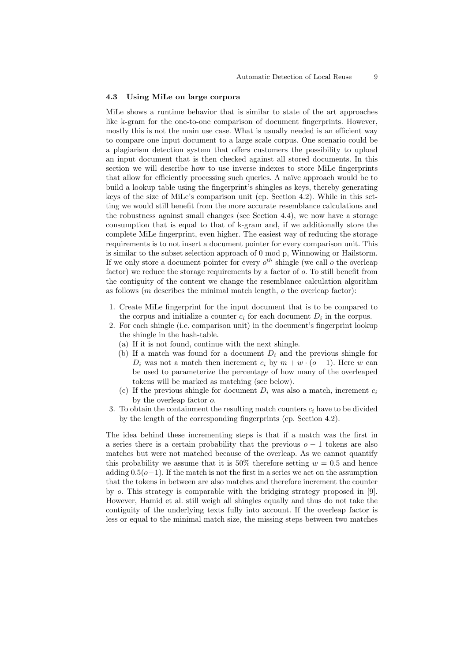#### 4.3 Using MiLe on large corpora

MiLe shows a runtime behavior that is similar to state of the art approaches like k-gram for the one-to-one comparison of document fingerprints. However, mostly this is not the main use case. What is usually needed is an efficient way to compare one input document to a large scale corpus. One scenario could be a plagiarism detection system that offers customers the possibility to upload an input document that is then checked against all stored documents. In this section we will describe how to use inverse indexes to store MiLe fingerprints that allow for efficiently processing such queries. A na¨ıve approach would be to build a lookup table using the fingerprint's shingles as keys, thereby generating keys of the size of MiLe's comparison unit (cp. Section 4.2). While in this setting we would still benefit from the more accurate resemblance calculations and the robustness against small changes (see Section 4.4), we now have a storage consumption that is equal to that of k-gram and, if we additionally store the complete MiLe fingerprint, even higher. The easiest way of reducing the storage requirements is to not insert a document pointer for every comparison unit. This is similar to the subset selection approach of 0 mod p, Winnowing or Hailstorm. If we only store a document pointer for every  $o^{th}$  shingle (we call  $o$  the overleap factor) we reduce the storage requirements by a factor of o. To still benefit from the contiguity of the content we change the resemblance calculation algorithm as follows  $(m \text{ describes the minimal match length}, o \text{ the overlap factor})$ :

- 1. Create MiLe fingerprint for the input document that is to be compared to the corpus and initialize a counter  $c_i$  for each document  $D_i$  in the corpus.
- 2. For each shingle (i.e. comparison unit) in the document's fingerprint lookup the shingle in the hash-table.
	- (a) If it is not found, continue with the next shingle.
	- (b) If a match was found for a document  $D_i$  and the previous shingle for  $D_i$  was not a match then increment  $c_i$  by  $m + w \cdot (o - 1)$ . Here w can be used to parameterize the percentage of how many of the overleaped tokens will be marked as matching (see below).
	- (c) If the previous shingle for document  $D_i$  was also a match, increment  $c_i$ by the overleap factor o.
- 3. To obtain the containment the resulting match counters  $c_i$  have to be divided by the length of the corresponding fingerprints (cp. Section 4.2).

The idea behind these incrementing steps is that if a match was the first in a series there is a certain probability that the previous  $o - 1$  tokens are also matches but were not matched because of the overleap. As we cannot quantify this probability we assume that it is 50% therefore setting  $w = 0.5$  and hence adding  $0.5(o-1)$ . If the match is not the first in a series we act on the assumption that the tokens in between are also matches and therefore increment the counter by o. This strategy is comparable with the bridging strategy proposed in [9]. However, Hamid et al. still weigh all shingles equally and thus do not take the contiguity of the underlying texts fully into account. If the overleap factor is less or equal to the minimal match size, the missing steps between two matches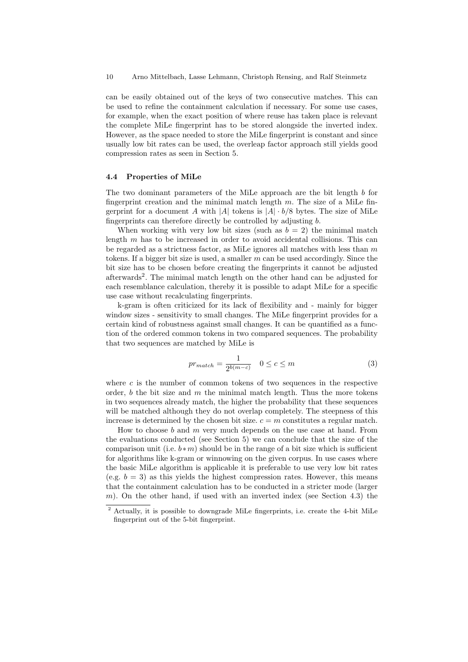10 Arno Mittelbach, Lasse Lehmann, Christoph Rensing, and Ralf Steinmetz

can be easily obtained out of the keys of two consecutive matches. This can be used to refine the containment calculation if necessary. For some use cases, for example, when the exact position of where reuse has taken place is relevant the complete MiLe fingerprint has to be stored alongside the inverted index. However, as the space needed to store the MiLe fingerprint is constant and since usually low bit rates can be used, the overleap factor approach still yields good compression rates as seen in Section 5.

#### 4.4 Properties of MiLe

The two dominant parameters of the MiLe approach are the bit length b for fingerprint creation and the minimal match length  $m$ . The size of a MiLe fingerprint for a document A with |A| tokens is  $|A| \cdot b/8$  bytes. The size of MiLe fingerprints can therefore directly be controlled by adjusting b.

When working with very low bit sizes (such as  $b = 2$ ) the minimal match length  $m$  has to be increased in order to avoid accidental collisions. This can be regarded as a strictness factor, as MiLe ignores all matches with less than  $m$ tokens. If a bigger bit size is used, a smaller  $m$  can be used accordingly. Since the bit size has to be chosen before creating the fingerprints it cannot be adjusted afterwards<sup>2</sup> . The minimal match length on the other hand can be adjusted for each resemblance calculation, thereby it is possible to adapt MiLe for a specific use case without recalculating fingerprints.

k-gram is often criticized for its lack of flexibility and - mainly for bigger window sizes - sensitivity to small changes. The MiLe fingerprint provides for a certain kind of robustness against small changes. It can be quantified as a function of the ordered common tokens in two compared sequences. The probability that two sequences are matched by MiLe is

$$
pr_{match} = \frac{1}{2^{b(m-c)}} \quad 0 \le c \le m \tag{3}
$$

where  $c$  is the number of common tokens of two sequences in the respective order, b the bit size and  $m$  the minimal match length. Thus the more tokens in two sequences already match, the higher the probability that these sequences will be matched although they do not overlap completely. The steepness of this increase is determined by the chosen bit size.  $c = m$  constitutes a regular match.

How to choose  $b$  and  $m$  very much depends on the use case at hand. From the evaluations conducted (see Section 5) we can conclude that the size of the comparison unit (i.e.  $b*m$ ) should be in the range of a bit size which is sufficient for algorithms like k-gram or winnowing on the given corpus. In use cases where the basic MiLe algorithm is applicable it is preferable to use very low bit rates (e.g.  $b = 3$ ) as this yields the highest compression rates. However, this means that the containment calculation has to be conducted in a stricter mode (larger m). On the other hand, if used with an inverted index (see Section 4.3) the

<sup>2</sup> Actually, it is possible to downgrade MiLe fingerprints, i.e. create the 4-bit MiLe fingerprint out of the 5-bit fingerprint.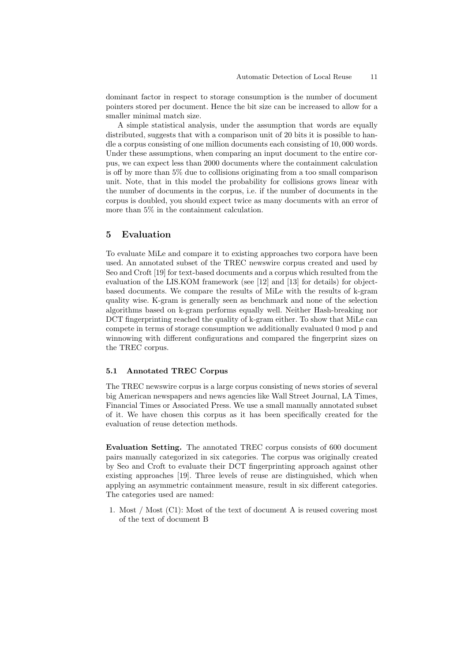dominant factor in respect to storage consumption is the number of document pointers stored per document. Hence the bit size can be increased to allow for a smaller minimal match size.

A simple statistical analysis, under the assumption that words are equally distributed, suggests that with a comparison unit of 20 bits it is possible to handle a corpus consisting of one million documents each consisting of 10, 000 words. Under these assumptions, when comparing an input document to the entire corpus, we can expect less than 2000 documents where the containment calculation is off by more than 5% due to collisions originating from a too small comparison unit. Note, that in this model the probability for collisions grows linear with the number of documents in the corpus, i.e. if the number of documents in the corpus is doubled, you should expect twice as many documents with an error of more than 5% in the containment calculation.

## 5 Evaluation

To evaluate MiLe and compare it to existing approaches two corpora have been used. An annotated subset of the TREC newswire corpus created and used by Seo and Croft [19] for text-based documents and a corpus which resulted from the evaluation of the LIS.KOM framework (see [12] and [13] for details) for objectbased documents. We compare the results of MiLe with the results of k-gram quality wise. K-gram is generally seen as benchmark and none of the selection algorithms based on k-gram performs equally well. Neither Hash-breaking nor DCT fingerprinting reached the quality of k-gram either. To show that MiLe can compete in terms of storage consumption we additionally evaluated 0 mod p and winnowing with different configurations and compared the fingerprint sizes on the TREC corpus.

### 5.1 Annotated TREC Corpus

The TREC newswire corpus is a large corpus consisting of news stories of several big American newspapers and news agencies like Wall Street Journal, LA Times, Financial Times or Associated Press. We use a small manually annotated subset of it. We have chosen this corpus as it has been specifically created for the evaluation of reuse detection methods.

Evaluation Setting. The annotated TREC corpus consists of 600 document pairs manually categorized in six categories. The corpus was originally created by Seo and Croft to evaluate their DCT fingerprinting approach against other existing approaches [19]. Three levels of reuse are distinguished, which when applying an asymmetric containment measure, result in six different categories. The categories used are named:

1. Most / Most (C1): Most of the text of document A is reused covering most of the text of document B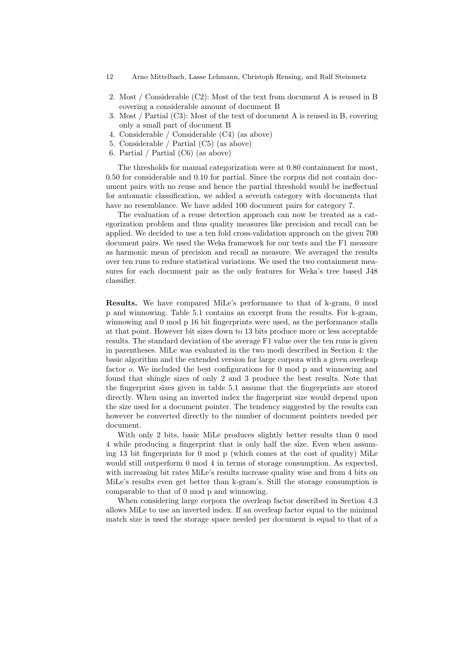- 12 Arno Mittelbach, Lasse Lehmann, Christoph Rensing, and Ralf Steinmetz
- 2. Most / Considerable (C2): Most of the text from document A is reused in B covering a considerable amount of document B
- 3. Most / Partial (C3): Most of the text of document A is reused in B, covering only a small part of document B
- 4. Considerable / Considerable (C4) (as above)
- 5. Considerable / Partial (C5) (as above)
- 6. Partial / Partial (C6) (as above)

The thresholds for manual categorization were at 0.80 containment for most, 0.50 for considerable and 0.10 for partial. Since the corpus did not contain document pairs with no reuse and hence the partial threshold would be ineffectual for automatic classification, we added a seventh category with documents that have no resemblance. We have added 100 document pairs for category 7.

The evaluation of a reuse detection approach can now be treated as a categorization problem and thus quality measures like precision and recall can be applied. We decided to use a ten fold cross-validation approach on the given 700 document pairs. We used the Weka framework for our tests and the F1 measure as harmonic mean of precision and recall as measure. We averaged the results over ten runs to reduce statistical variations. We used the two containment measures for each document pair as the only features for Weka's tree based J48 classifier.

Results. We have compared MiLe's performance to that of k-gram, 0 mod p and winnowing. Table 5.1 contains an excerpt from the results. For k-gram, winnowing and 0 mod p 16 bit fingerprints were used, as the performance stalls at that point. However bit sizes down to 13 bits produce more or less acceptable results. The standard deviation of the average F1 value over the ten runs is given in parentheses. MiLe was evaluated in the two modi described in Section 4: the basic algorithm and the extended version for large corpora with a given overleap factor o. We included the best configurations for 0 mod p and winnowing and found that shingle sizes of only 2 and 3 produce the best results. Note that the fingerprint sizes given in table 5.1 assume that the fingerprints are stored directly. When using an inverted index the fingerprint size would depend upon the size used for a document pointer. The tendency suggested by the results can however be converted directly to the number of document pointers needed per document.

With only 2 bits, basic MiLe produces slightly better results than 0 mod 4 while producing a fingerprint that is only half the size. Even when assuming 13 bit fingerprints for 0 mod p (which comes at the cost of quality) MiLe would still outperform 0 mod 4 in terms of storage consumption. As expected, with increasing bit rates MiLe's results increase quality wise and from 4 bits on MiLe's results even get better than k-gram's. Still the storage consumption is comparable to that of 0 mod p and winnowing.

When considering large corpora the overleap factor described in Section 4.3 allows MiLe to use an inverted index. If an overleap factor equal to the minimal match size is used the storage space needed per document is equal to that of a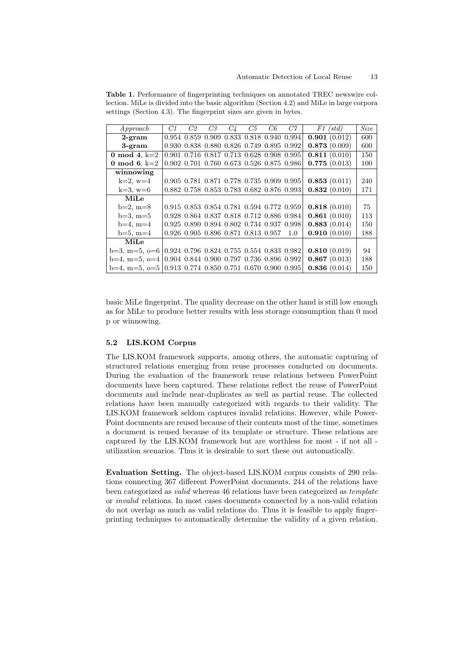Table 1. Performance of fingerprinting techniques on annotated TREC newswire collection. MiLe is divided into the basic algorithm (Section 4.2) and MiLe in large corpora settings (Section 4.3). The fingerprint sizes are given in bytes.

| Approach                                                   | C1 | C2 | CЗ | C4 | C5                                        | C6 | C7  | $F1$ (std)   | Size |
|------------------------------------------------------------|----|----|----|----|-------------------------------------------|----|-----|--------------|------|
| $2$ -gram                                                  |    |    |    |    | 0.954 0.859 0.909 0.833 0.818 0.940 0.994 |    |     | 0.901(0.012) | 600  |
| $3-gram$                                                   |    |    |    |    | 0.930 0.838 0.880 0.826 0.749 0.895 0.992 |    |     | 0.873(0.009) | 600  |
| $\overline{0 \mod 4}$ , k=2                                |    |    |    |    | 0.901 0.716 0.817 0.713 0.628 0.908 0.995 |    |     | 0.811(0.010) | 150  |
| 0 mod 6, $k=2$                                             |    |    |    |    | 0.902 0.701 0.760 0.673 0.526 0.875 0.986 |    |     | 0.775(0.013) | 100  |
| winnowing                                                  |    |    |    |    |                                           |    |     |              |      |
| $k=2$ , $w=4$                                              |    |    |    |    | 0.905 0.781 0.871 0.778 0.735 0.909 0.995 |    |     | 0.853(0.011) | 240  |
| $k=3, w=6$                                                 |    |    |    |    | 0.882 0.758 0.853 0.783 0.682 0.876 0.993 |    |     | 0.832(0.010) | 171  |
| MiLe                                                       |    |    |    |    |                                           |    |     |              |      |
| $b=2, m=8$                                                 |    |    |    |    | 0.915 0.853 0.854 0.781 0.594 0.772 0.959 |    |     | 0.818(0.010) | 75   |
| $b=3$ , m=5                                                |    |    |    |    | 0.928 0.864 0.837 0.818 0.712 0.886 0.984 |    |     | 0.861(0.010) | 113  |
| $b=4$ , m=4                                                |    |    |    |    | 0.925 0.890 0.894 0.802 0.734 0.937 0.998 |    |     | 0.883(0.014) | 150  |
| $b=5, m=4$                                                 |    |    |    |    | 0.926 0.905 0.896 0.871 0.813 0.957       |    | 1.0 | 0.910(0.010) | 188  |
| MiLe                                                       |    |    |    |    |                                           |    |     |              |      |
| $b=3$ , m=5, o=6                                           |    |    |    |    | 0.924 0.796 0.824 0.755 0.554 0.833 0.982 |    |     | 0.810(0.019) | 94   |
| $b=4$ , m=5, o=4                                           |    |    |    |    | 0.904 0.844 0.900 0.797 0.736 0.896 0.992 |    |     | 0.867(0.013) | 188  |
| $b=4$ , m=5, o=5 0.913 0.774 0.850 0.751 0.670 0.900 0.995 |    |    |    |    |                                           |    |     | 0.836(0.014) | 150  |

basic MiLe fingerprint. The quality decrease on the other hand is still low enough as for MiLe to produce better results with less storage consumption than 0 mod p or winnowing.

## 5.2 LIS.KOM Corpus

The LIS.KOM framework supports, among others, the automatic capturing of structured relations emerging from reuse processes conducted on documents. During the evaluation of the framework reuse relations between PowerPoint documents have been captured. These relations reflect the reuse of PowerPoint documents and include near-duplicates as well as partial reuse. The collected relations have been manually categorized with regards to their validity. The LIS.KOM framework seldom captures invalid relations. However, while Power-Point documents are reused because of their contents most of the time, sometimes a document is reused because of its template or structure. These relations are captured by the LIS.KOM framework but are worthless for most - if not all utilization scenarios. Thus it is desirable to sort these out automatically.

Evaluation Setting. The object-based LIS.KOM corpus consists of 290 relations connecting 367 different PowerPoint documents. 244 of the relations have been categorized as valid whereas 46 relations have been categorized as template or invalid relations. In most cases documents connected by a non-valid relation do not overlap as much as valid relations do. Thus it is feasible to apply fingerprinting techniques to automatically determine the validity of a given relation.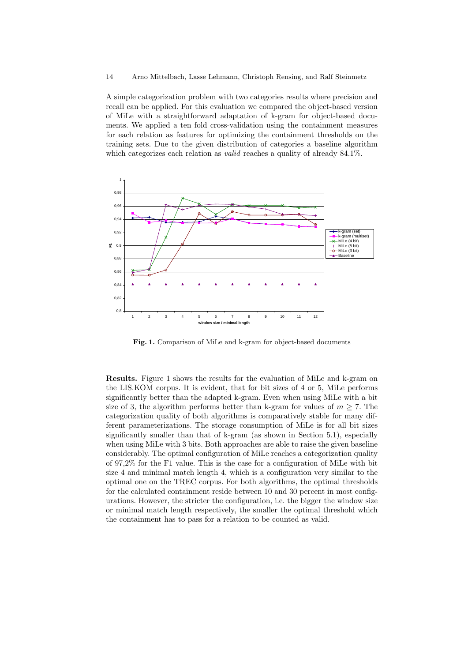14 Arno Mittelbach, Lasse Lehmann, Christoph Rensing, and Ralf Steinmetz

A simple categorization problem with two categories results where precision and recall can be applied. For this evaluation we compared the object-based version of MiLe with a straightforward adaptation of k-gram for object-based documents. We applied a ten fold cross-validation using the containment measures for each relation as features for optimizing the containment thresholds on the training sets. Due to the given distribution of categories a baseline algorithm which categorizes each relation as *valid* reaches a quality of already 84.1%.



Fig. 1. Comparison of MiLe and k-gram for object-based documents

Results. Figure 1 shows the results for the evaluation of MiLe and k-gram on the LIS.KOM corpus. It is evident, that for bit sizes of 4 or 5, MiLe performs significantly better than the adapted k-gram. Even when using MiLe with a bit size of 3, the algorithm performs better than k-gram for values of  $m \geq 7$ . The categorization quality of both algorithms is comparatively stable for many different parameterizations. The storage consumption of MiLe is for all bit sizes significantly smaller than that of k-gram (as shown in Section 5.1), especially when using MiLe with 3 bits. Both approaches are able to raise the given baseline considerably. The optimal configuration of MiLe reaches a categorization quality of 97,2% for the F1 value. This is the case for a configuration of MiLe with bit size 4 and minimal match length 4, which is a configuration very similar to the optimal one on the TREC corpus. For both algorithms, the optimal thresholds for the calculated containment reside between 10 and 30 percent in most configurations. However, the stricter the configuration, i.e. the bigger the window size or minimal match length respectively, the smaller the optimal threshold which the containment has to pass for a relation to be counted as valid.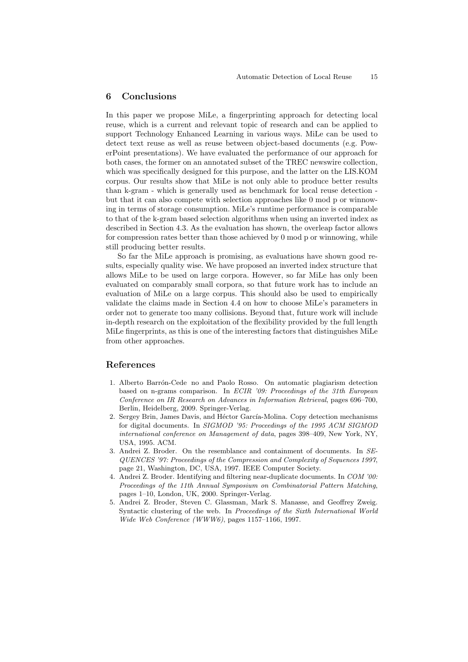### 6 Conclusions

In this paper we propose MiLe, a fingerprinting approach for detecting local reuse, which is a current and relevant topic of research and can be applied to support Technology Enhanced Learning in various ways. MiLe can be used to detect text reuse as well as reuse between object-based documents (e.g. PowerPoint presentations). We have evaluated the performance of our approach for both cases, the former on an annotated subset of the TREC newswire collection, which was specifically designed for this purpose, and the latter on the LIS.KOM corpus. Our results show that MiLe is not only able to produce better results than k-gram - which is generally used as benchmark for local reuse detection but that it can also compete with selection approaches like 0 mod p or winnowing in terms of storage consumption. MiLe's runtime performance is comparable to that of the k-gram based selection algorithms when using an inverted index as described in Section 4.3. As the evaluation has shown, the overleap factor allows for compression rates better than those achieved by 0 mod p or winnowing, while still producing better results.

So far the MiLe approach is promising, as evaluations have shown good results, especially quality wise. We have proposed an inverted index structure that allows MiLe to be used on large corpora. However, so far MiLe has only been evaluated on comparably small corpora, so that future work has to include an evaluation of MiLe on a large corpus. This should also be used to empirically validate the claims made in Section 4.4 on how to choose MiLe's parameters in order not to generate too many collisions. Beyond that, future work will include in-depth research on the exploitation of the flexibility provided by the full length MiLe fingerprints, as this is one of the interesting factors that distinguishes MiLe from other approaches.

# References

- 1. Alberto Barrón-Cede no and Paolo Rosso. On automatic plagiarism detection based on n-grams comparison. In ECIR '09: Proceedings of the 31th European Conference on IR Research on Advances in Information Retrieval, pages 696–700, Berlin, Heidelberg, 2009. Springer-Verlag.
- 2. Sergey Brin, James Davis, and Héctor García-Molina. Copy detection mechanisms for digital documents. In SIGMOD '95: Proceedings of the 1995 ACM SIGMOD international conference on Management of data, pages 398–409, New York, NY, USA, 1995. ACM.
- 3. Andrei Z. Broder. On the resemblance and containment of documents. In SE-QUENCES '97: Proceedings of the Compression and Complexity of Sequences 1997, page 21, Washington, DC, USA, 1997. IEEE Computer Society.
- 4. Andrei Z. Broder. Identifying and filtering near-duplicate documents. In COM '00: Proceedings of the 11th Annual Symposium on Combinatorial Pattern Matching, pages 1–10, London, UK, 2000. Springer-Verlag.
- 5. Andrei Z. Broder, Steven C. Glassman, Mark S. Manasse, and Geoffrey Zweig. Syntactic clustering of the web. In Proceedings of the Sixth International World Wide Web Conference (WWW6), pages 1157–1166, 1997.